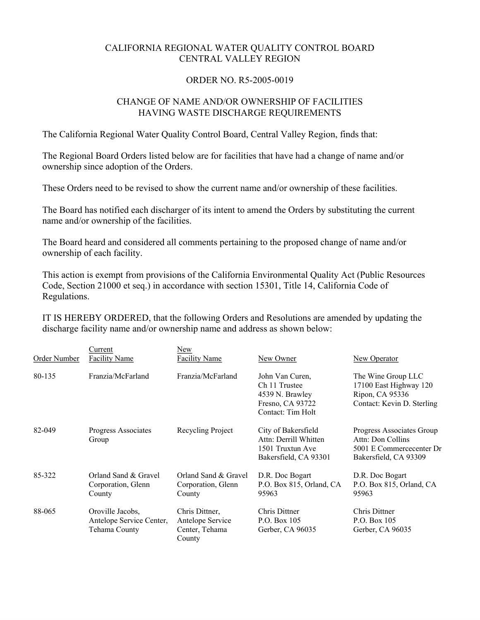## CALIFORNIA REGIONAL WATER QUALITY CONTROL BOARD CENTRAL VALLEY REGION

## ORDER NO. R5-2005-0019

## CHANGE OF NAME AND/OR OWNERSHIP OF FACILITIES HAVING WASTE DISCHARGE REQUIREMENTS

The California Regional Water Quality Control Board, Central Valley Region, finds that:

The Regional Board Orders listed below are for facilities that have had a change of name and/or ownership since adoption of the Orders.

These Orders need to be revised to show the current name and/or ownership of these facilities.

The Board has notified each discharger of its intent to amend the Orders by substituting the current name and/or ownership of the facilities.

The Board heard and considered all comments pertaining to the proposed change of name and/or ownership of each facility.

This action is exempt from provisions of the California Environmental Quality Act (Public Resources Code, Section 21000 et seq.) in accordance with section 15301, Title 14, California Code of Regulations.

IT IS HEREBY ORDERED, that the following Orders and Resolutions are amended by updating the discharge facility name and/or ownership name and address as shown below:

| Order Number | Current<br><b>Facility Name</b>                               | New<br><b>Facility Name</b>                                    | New Owner                                                                                    | New Operator                                                                                        |
|--------------|---------------------------------------------------------------|----------------------------------------------------------------|----------------------------------------------------------------------------------------------|-----------------------------------------------------------------------------------------------------|
| 80-135       | Franzia/McFarland                                             | Franzia/McFarland                                              | John Van Curen.<br>Ch 11 Trustee<br>4539 N. Brawley<br>Fresno, CA 93722<br>Contact: Tim Holt | The Wine Group LLC<br>17100 East Highway 120<br>Ripon, CA 95336<br>Contact: Kevin D. Sterling       |
| 82-049       | Progress Associates<br>Group                                  | Recycling Project                                              | City of Bakersfield<br>Attn: Derrill Whitten<br>1501 Truxtun Ave<br>Bakersfield, CA 93301    | Progress Associates Group<br>Attn: Don Collins<br>5001 E Commercecenter Dr<br>Bakersfield, CA 93309 |
| 85-322       | Orland Sand & Gravel<br>Corporation, Glenn<br>County          | Orland Sand & Gravel<br>Corporation, Glenn<br>County           | D.R. Doc Bogart<br>P.O. Box 815, Orland, CA<br>95963                                         | D.R. Doc Bogart<br>P.O. Box 815, Orland, CA<br>95963                                                |
| 88-065       | Oroville Jacobs,<br>Antelope Service Center,<br>Tehama County | Chris Dittner,<br>Antelope Service<br>Center, Tehama<br>County | Chris Dittner<br>P.O. Box 105<br>Gerber, CA 96035                                            | <b>Chris Dittner</b><br>P.O. Box 105<br>Gerber, CA 96035                                            |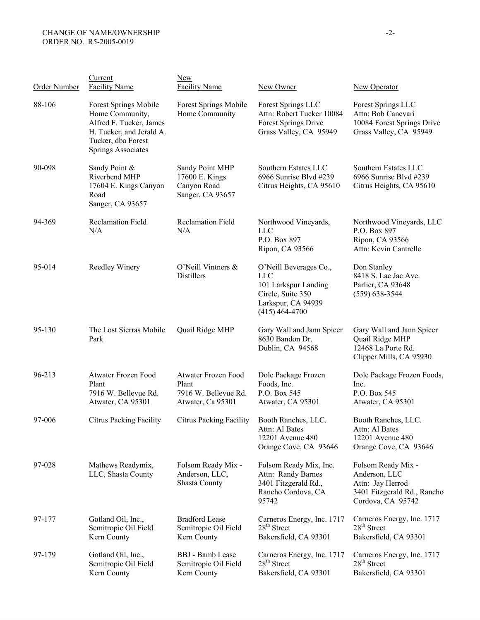| <b>Order Number</b> | Current<br><b>Facility Name</b>                                                                                                             | <b>New</b><br><b>Facility Name</b>                                        | New Owner                                                                                                                   | <b>New Operator</b>                                                                                         |
|---------------------|---------------------------------------------------------------------------------------------------------------------------------------------|---------------------------------------------------------------------------|-----------------------------------------------------------------------------------------------------------------------------|-------------------------------------------------------------------------------------------------------------|
| 88-106              | Forest Springs Mobile<br>Home Community,<br>Alfred F. Tucker, James<br>H. Tucker, and Jerald A.<br>Tucker, dba Forest<br>Springs Associates | Forest Springs Mobile<br>Home Community                                   | Forest Springs LLC<br>Attn: Robert Tucker 10084<br>Forest Springs Drive<br>Grass Valley, CA 95949                           | Forest Springs LLC<br>Attn: Bob Canevari<br>10084 Forest Springs Drive<br>Grass Valley, CA 95949            |
| 90-098              | Sandy Point &<br>Riverbend MHP<br>17604 E. Kings Canyon<br>Road<br>Sanger, CA 93657                                                         | Sandy Point MHP<br>17600 E. Kings<br>Canyon Road<br>Sanger, CA 93657      | Southern Estates LLC<br>6966 Sunrise Blvd #239<br>Citrus Heights, CA 95610                                                  | Southern Estates LLC<br>6966 Sunrise Blvd #239<br>Citrus Heights, CA 95610                                  |
| 94-369              | <b>Reclamation Field</b><br>N/A                                                                                                             | <b>Reclamation Field</b><br>N/A                                           | Northwood Vineyards,<br><b>LLC</b><br>P.O. Box 897<br>Ripon, CA 93566                                                       | Northwood Vineyards, LLC<br>P.O. Box 897<br>Ripon, CA 93566<br>Attn: Kevin Cantrelle                        |
| 95-014              | Reedley Winery                                                                                                                              | O'Neill Vintners &<br><b>Distillers</b>                                   | O'Neill Beverages Co.,<br><b>LLC</b><br>101 Larkspur Landing<br>Circle, Suite 350<br>Larkspur, CA 94939<br>$(415)$ 464-4700 | Don Stanley<br>8418 S. Lac Jac Ave.<br>Parlier, CA 93648<br>$(559) 638 - 3544$                              |
| 95-130              | The Lost Sierras Mobile<br>Park                                                                                                             | Quail Ridge MHP                                                           | Gary Wall and Jann Spicer<br>8630 Bandon Dr.<br>Dublin, CA 94568                                                            | Gary Wall and Jann Spicer<br>Quail Ridge MHP<br>12468 La Porte Rd.<br>Clipper Mills, CA 95930               |
| 96-213              | Atwater Frozen Food<br>Plant<br>7916 W. Bellevue Rd.<br>Atwater, CA 95301                                                                   | Atwater Frozen Food<br>Plant<br>7916 W. Bellevue Rd.<br>Atwater, Ca 95301 | Dole Package Frozen<br>Foods, Inc.<br>P.O. Box 545<br>Atwater, CA 95301                                                     | Dole Package Frozen Foods,<br>Inc.<br>P.O. Box 545<br>Atwater, CA 95301                                     |
| 97-006              | <b>Citrus Packing Facility</b>                                                                                                              | <b>Citrus Packing Facility</b>                                            | Booth Ranches, LLC.<br>Attn: Al Bates<br>12201 Avenue 480<br>Orange Cove, CA 93646                                          | Booth Ranches, LLC.<br>Attn: Al Bates<br>12201 Avenue 480<br>Orange Cove, CA 93646                          |
| 97-028              | Mathews Readymix,<br>LLC, Shasta County                                                                                                     | Folsom Ready Mix -<br>Anderson, LLC,<br><b>Shasta County</b>              | Folsom Ready Mix, Inc.<br>Attn: Randy Barnes<br>3401 Fitzgerald Rd.,<br>Rancho Cordova, CA<br>95742                         | Folsom Ready Mix -<br>Anderson, LLC<br>Attn: Jay Herrod<br>3401 Fitzgerald Rd., Rancho<br>Cordova, CA 95742 |
| 97-177              | Gotland Oil, Inc.,<br>Semitropic Oil Field<br>Kern County                                                                                   | <b>Bradford Lease</b><br>Semitropic Oil Field<br>Kern County              | Carneros Energy, Inc. 1717<br>28 <sup>th</sup> Street<br>Bakersfield, CA 93301                                              | Carneros Energy, Inc. 1717<br>$28th$ Street<br>Bakersfield, CA 93301                                        |
| 97-179              | Gotland Oil, Inc.,<br>Semitropic Oil Field<br>Kern County                                                                                   | <b>BBJ</b> - Bamb Lease<br>Semitropic Oil Field<br>Kern County            | Carneros Energy, Inc. 1717<br>$28th$ Street<br>Bakersfield, CA 93301                                                        | Carneros Energy, Inc. 1717<br>$28th$ Street<br>Bakersfield, CA 93301                                        |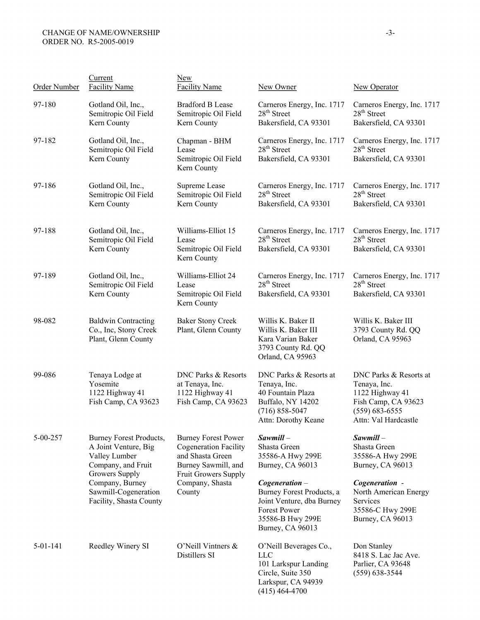## CHANGE OF NAME/OWNERSHIP ORDER NO. R5-2005-0019

| Order Number   | Current<br><b>Facility Name</b>                                                                                                                                                | New<br><b>Facility Name</b>                                                                                                                                | New Owner                                                                                                                                 | New Operator                                                                                                                   |
|----------------|--------------------------------------------------------------------------------------------------------------------------------------------------------------------------------|------------------------------------------------------------------------------------------------------------------------------------------------------------|-------------------------------------------------------------------------------------------------------------------------------------------|--------------------------------------------------------------------------------------------------------------------------------|
| 97-180         | Gotland Oil, Inc.,<br>Semitropic Oil Field<br>Kern County                                                                                                                      | <b>Bradford B Lease</b><br>Semitropic Oil Field<br>Kern County                                                                                             | Carneros Energy, Inc. 1717<br>$28th$ Street<br>Bakersfield, CA 93301                                                                      | Carneros Energy, Inc. 1717<br>$28th$ Street<br>Bakersfield, CA 93301                                                           |
| 97-182         | Gotland Oil, Inc.,<br>Semitropic Oil Field<br>Kern County                                                                                                                      | Chapman - BHM<br>Lease<br>Semitropic Oil Field<br>Kern County                                                                                              | Carneros Energy, Inc. 1717<br>$28th$ Street<br>Bakersfield, CA 93301                                                                      | Carneros Energy, Inc. 1717<br>$28th$ Street<br>Bakersfield, CA 93301                                                           |
| 97-186         | Gotland Oil, Inc.,<br>Semitropic Oil Field<br>Kern County                                                                                                                      | Supreme Lease<br>Semitropic Oil Field<br>Kern County                                                                                                       | Carneros Energy, Inc. 1717<br>$28th$ Street<br>Bakersfield, CA 93301                                                                      | Carneros Energy, Inc. 1717<br>$28th$ Street<br>Bakersfield, CA 93301                                                           |
| 97-188         | Gotland Oil, Inc.,<br>Semitropic Oil Field<br>Kern County                                                                                                                      | Williams-Elliot 15<br>Lease<br>Semitropic Oil Field<br>Kern County                                                                                         | Carneros Energy, Inc. 1717<br>$28th$ Street<br>Bakersfield, CA 93301                                                                      | Carneros Energy, Inc. 1717<br>$28th$ Street<br>Bakersfield, CA 93301                                                           |
| 97-189         | Gotland Oil, Inc.,<br>Semitropic Oil Field<br>Kern County                                                                                                                      | Williams-Elliot 24<br>Lease<br>Semitropic Oil Field<br>Kern County                                                                                         | Carneros Energy, Inc. 1717<br>$28th$ Street<br>Bakersfield, CA 93301                                                                      | Carneros Energy, Inc. 1717<br>$28th$ Street<br>Bakersfield, CA 93301                                                           |
| 98-082         | <b>Baldwin Contracting</b><br>Co., Inc, Stony Creek<br>Plant, Glenn County                                                                                                     | <b>Baker Stony Creek</b><br>Plant, Glenn County                                                                                                            | Willis K. Baker II<br>Willis K. Baker III<br>Kara Varian Baker<br>3793 County Rd. QQ<br>Orland, CA 95963                                  | Willis K. Baker III<br>3793 County Rd. QQ<br>Orland, CA 95963                                                                  |
| 99-086         | Tenaya Lodge at<br>Yosemite<br>1122 Highway 41<br>Fish Camp, CA 93623                                                                                                          | DNC Parks & Resorts<br>at Tenaya, Inc.<br>1122 Highway 41<br>Fish Camp, CA 93623                                                                           | DNC Parks & Resorts at<br>Tenaya, Inc.<br>40 Fountain Plaza<br>Buffalo, NY 14202<br>$(716) 858 - 5047$<br>Attn: Dorothy Keane             | DNC Parks & Resorts at<br>Tenaya, Inc.<br>1122 Highway 41<br>Fish Camp, CA 93623<br>$(559) 683 - 6555$<br>Attn: Val Hardcastle |
| $5 - 00 - 257$ | Burney Forest Products,<br>A Joint Venture, Big<br>Valley Lumber<br>Company, and Fruit<br>Growers Supply<br>Company, Burney<br>Sawmill-Cogeneration<br>Facility, Shasta County | <b>Burney Forest Power</b><br><b>Cogeneration Facility</b><br>and Shasta Green<br>Burney Sawmill, and<br>Fruit Growers Supply<br>Company, Shasta<br>County | $Sawmill -$<br>Shasta Green<br>35586-A Hwy 299E<br>Burney, CA 96013                                                                       | $Sawmill -$<br>Shasta Green<br>35586-A Hwy 299E<br>Burney, CA 96013                                                            |
|                |                                                                                                                                                                                |                                                                                                                                                            | $Cogeneration -$<br>Burney Forest Products, a<br>Joint Venture, dba Burney<br><b>Forest Power</b><br>35586-B Hwy 299E<br>Burney, CA 96013 | Cogeneration -<br>North American Energy<br>Services<br>35586-C Hwy 299E<br>Burney, CA 96013                                    |
| 5-01-141       | Reedley Winery SI                                                                                                                                                              | O'Neill Vintners &<br>Distillers SI                                                                                                                        | O'Neill Beverages Co.,<br><b>LLC</b><br>101 Larkspur Landing<br>Circle, Suite 350<br>Larkspur, CA 94939<br>$(415)$ 464-4700               | Don Stanley<br>8418 S. Lac Jac Ave.<br>Parlier, CA 93648<br>$(559)$ 638-3544                                                   |